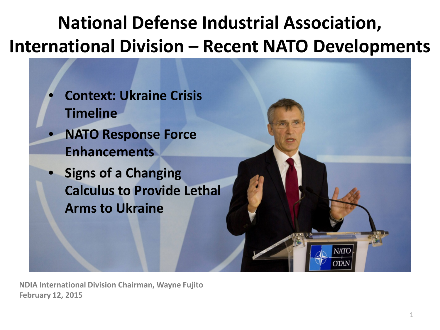## **National Defense Industrial Association, International Division – Recent NATO Developments**



**NDIA International Division Chairman, Wayne Fujito February 12, 2015**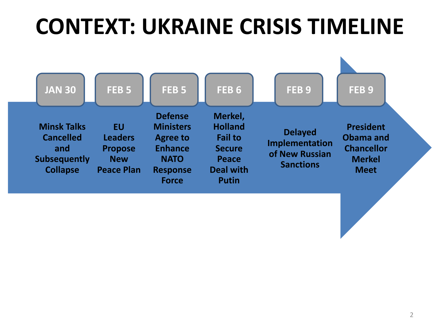## **CONTEXT: UKRAINE CRISIS TIMELINE**

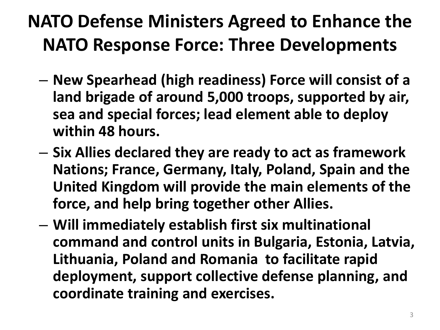### **NATO Defense Ministers Agreed to Enhance the NATO Response Force: Three Developments**

- **New Spearhead (high readiness) Force will consist of a land brigade of around 5,000 troops, supported by air, sea and special forces; lead element able to deploy within 48 hours.**
- **Six Allies declared they are ready to act as framework Nations; France, Germany, Italy, Poland, Spain and the United Kingdom will provide the main elements of the force, and help bring together other Allies.**
- **Will immediately establish first six multinational command and control units in Bulgaria, Estonia, Latvia, Lithuania, Poland and Romania to facilitate rapid deployment, support collective defense planning, and coordinate training and exercises.**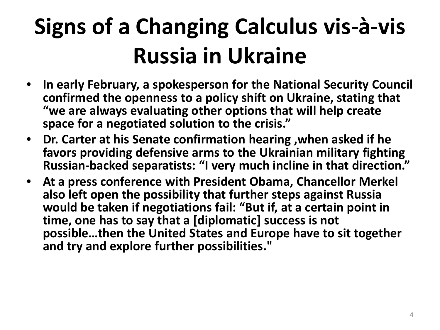# **Signs of a Changing Calculus vis-à-vis Russia in Ukraine**

- **In early February, a spokesperson for the National Security Council confirmed the openness to a policy shift on Ukraine, stating that "we are always evaluating other options that will help create space for a negotiated solution to the crisis."**
- **Dr. Carter at his Senate confirmation hearing ,when asked if he favors providing defensive arms to the Ukrainian military fighting Russian-backed separatists: "I very much incline in that direction."**
- **At a press conference with President Obama, Chancellor Merkel also left open the possibility that further steps against Russia would be taken if negotiations fail: "But if, at a certain point in time, one has to say that a [diplomatic] success is not possible…then the United States and Europe have to sit together and try and explore further possibilities."**